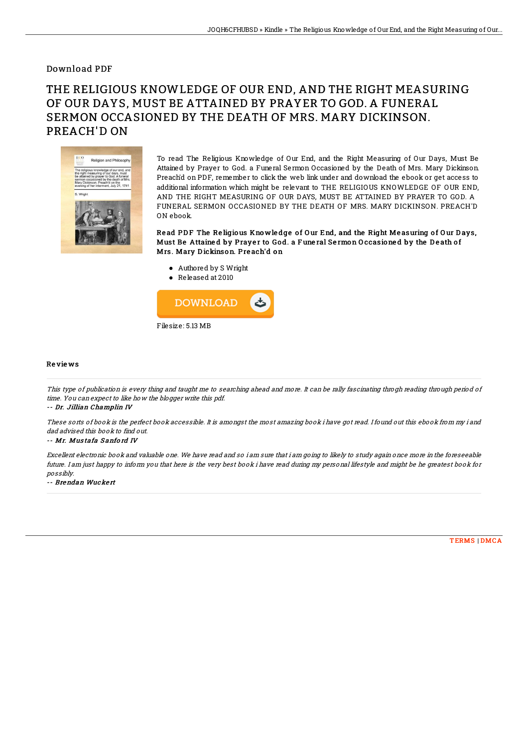## Download PDF

## THE RELIGIOUS KNOWLEDGE OF OUR END, AND THE RIGHT MEASURING OF OUR DAYS, MUST BE ATTAINED BY PRAYER TO GOD. A FUNERAL SERMON OCCASIONED BY THE DEATH OF MRS. MARY DICKINSON. PREACH'D ON



To read The Religious Knowledge of Our End, and the Right Measuring of Our Days, Must Be Attained by Prayer to God. a Funeral Sermon Occasioned by the Death of Mrs. Mary Dickinson. Preach'd on PDF, remember to click the web link under and download the ebook or get access to additional information which might be relevant to THE RELIGIOUS KNOWLEDGE OF OUR END, AND THE RIGHT MEASURING OF OUR DAYS, MUST BE ATTAINED BY PRAYER TO GOD. A FUNERAL SERMON OCCASIONED BY THE DEATH OF MRS. MARY DICKINSON. PREACH'D ON ebook.

Read PDF The Religious Knowledge of Our End, and the Right Measuring of Our Days, Must Be Attained by Prayer to God. a Funeral Sermon Occasioned by the Death of Mrs. Mary D ickinson. Pre ach'd on

- Authored by S Wright
- Released at 2010



## Re vie ws

This type of publication is every thing and taught me to searching ahead and more. It can be rally fascinating throgh reading through period of time. You can expect to like how the blogger write this pdf.

-- Dr. Jillian Champlin IV

These sorts of book is the perfect book accessible. It is amongst the most amazing book i have got read. I found out this ebook from my i and dad advised this book to find out.

-- Mr. Mus tafa S anfo rd IV

Excellent electronic book and valuable one. We have read and so i am sure that i am going to likely to study again once more in the foreseeable future. I am just happy to inform you that here is the very best book i have read during my personal lifestyle and might be he greatest book for possibly.

-- Brendan Wucke rt